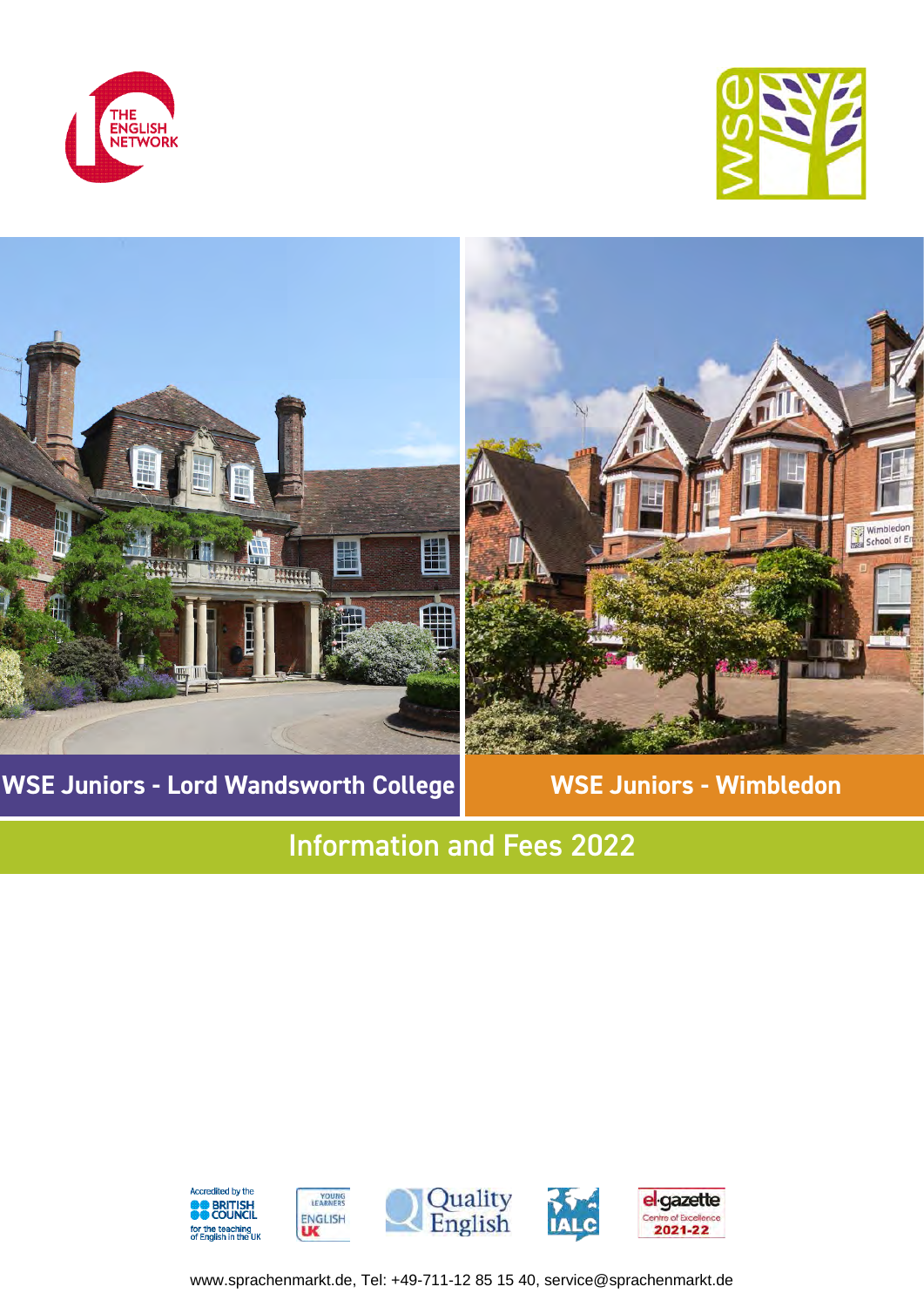





**WSE Juniors - Lord Wandsworth College | WSE Juniors - Wimbledon** 

# Information and Fees 2022



www.sprachenmarkt.de, Tel: +49-711-12 85 15 40, service@sprachenmarkt.de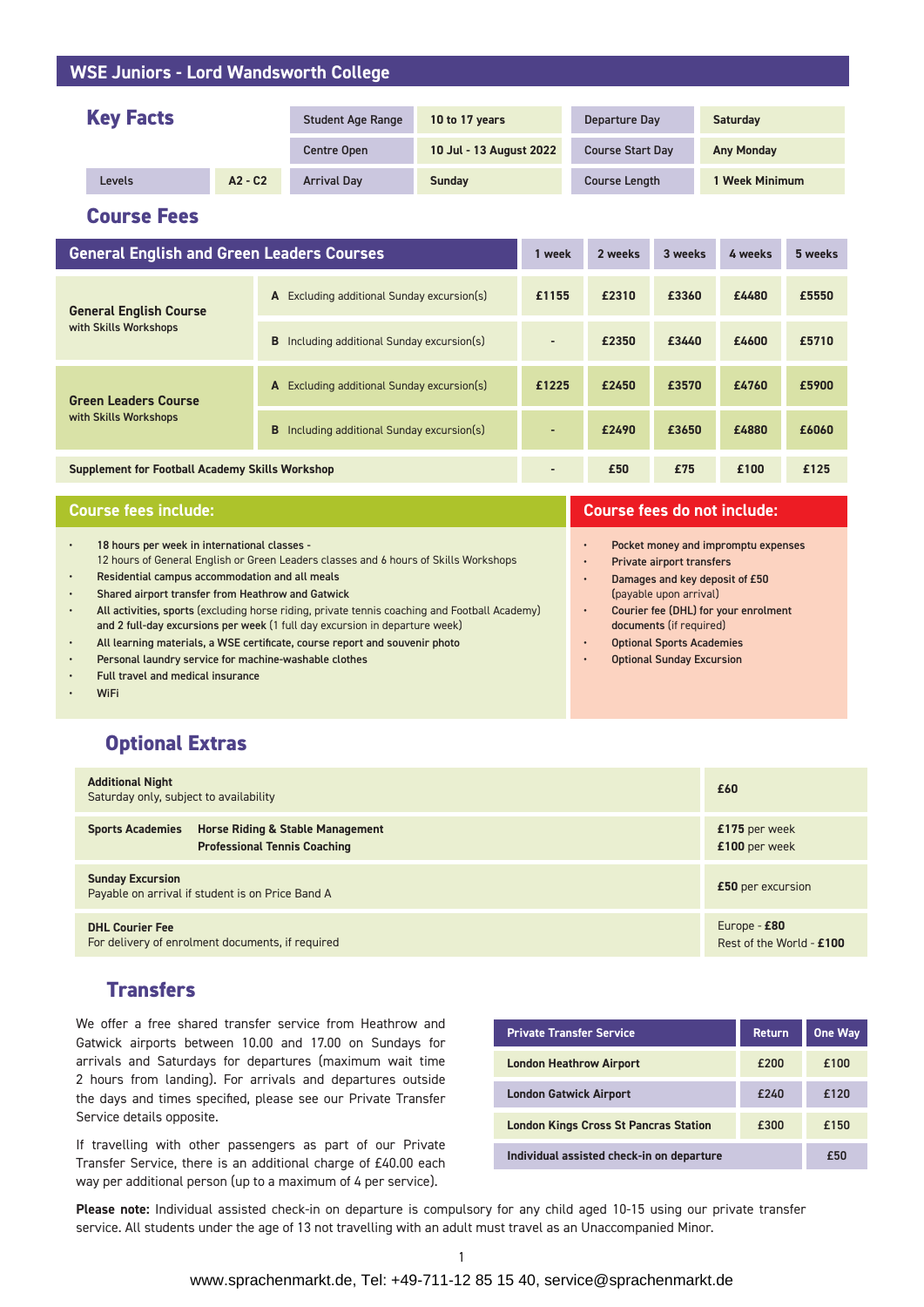### **WSE Juniors - Lord Wandsworth College**

| <b>Key Facts</b> |           | <b>Student Age Range</b> | 10 to 17 years          | Departure Day           | <b>Saturday</b>     |
|------------------|-----------|--------------------------|-------------------------|-------------------------|---------------------|
|                  |           | <b>Centre Open</b>       | 10 Jul - 13 August 2022 | <b>Course Start Day</b> | <b>Any Monday</b>   |
| Levels           | $A2 - C2$ | <b>Arrival Dav</b>       | <b>Sunday</b>           | <b>Course Length</b>    | <b>Week Minimum</b> |

**Course Fees**

| <b>General English and Green Leaders Courses</b>       |                                               | 1 week         | 2 weeks | 3 weeks | 4 weeks | 5 weeks |
|--------------------------------------------------------|-----------------------------------------------|----------------|---------|---------|---------|---------|
| <b>General English Course</b><br>with Skills Workshops | Excluding additional Sunday excursion(s)<br>A | £1155          | £2310   | £3360   | £4480   | £5550   |
|                                                        | B<br>Including additional Sunday excursion(s) | $\blacksquare$ | £2350   | £3440   | £4600   | £5710   |
| <b>Green Leaders Course</b>                            | Excluding additional Sunday excursion(s)<br>A | £1225          | £2450   | £3570   | £4760   | £5900   |
| with Skills Workshops                                  | Including additional Sunday excursion(s)<br>B | $\overline{a}$ | £2490   | £3650   | £4880   | £6060   |
| <b>Supplement for Football Academy Skills Workshop</b> |                                               | $\blacksquare$ | £50     | £75     | £100    | £125    |

| <b>Course fees include:</b>                                                                                                                                                                                                                 | <b>Course fees do not include:</b>                                                                                           |  |  |
|---------------------------------------------------------------------------------------------------------------------------------------------------------------------------------------------------------------------------------------------|------------------------------------------------------------------------------------------------------------------------------|--|--|
| 18 hours per week in international classes -<br>12 hours of General English or Green Leaders classes and 6 hours of Skills Workshops<br>Residential campus accommodation and all meals<br>Shared airport transfer from Heathrow and Gatwick | Pocket money and impromptu expenses<br>Private airport transfers<br>Damages and key deposit of £50<br>(payable upon arrival) |  |  |
| All activities, sports (excluding horse riding, private tennis coaching and Football Academy)<br>and 2 full-day excursions per week (1 full day excursion in departure week)                                                                | Courier fee (DHL) for your enrolment<br>documents (if required)                                                              |  |  |
| All learning materials, a WSE certificate, course report and souvenir photo                                                                                                                                                                 | <b>Optional Sports Academies</b>                                                                                             |  |  |
| Personal laundry service for machine-washable clothes                                                                                                                                                                                       | <b>Optional Sunday Excursion</b>                                                                                             |  |  |
| Full travel and medical insurance                                                                                                                                                                                                           |                                                                                                                              |  |  |
| <b>WiFi</b>                                                                                                                                                                                                                                 |                                                                                                                              |  |  |

### **Optional Extras**

| <b>Additional Night</b><br>Saturday only, subject to availability                                             | £60                                      |
|---------------------------------------------------------------------------------------------------------------|------------------------------------------|
| <b>Sports Academies</b><br><b>Horse Riding &amp; Stable Management</b><br><b>Professional Tennis Coaching</b> | £175 per week<br>£100 per week           |
| <b>Sunday Excursion</b><br>Payable on arrival if student is on Price Band A                                   | £50 per excursion                        |
| <b>DHL Courier Fee</b><br>For delivery of enrolment documents, if required                                    | Europe - £80<br>Rest of the World - £100 |

### **Transfers**

We offer a free shared transfer service from Heathrow and Gatwick airports between 10.00 and 17.00 on Sundays for arrivals and Saturdays for departures (maximum wait time 2 hours from landing). For arrivals and departures outside the days and times specified, please see our Private Transfer Service details opposite.

If travelling with other passengers as part of our Private Transfer Service, there is an additional charge of £40.00 each way per additional person (up to a maximum of 4 per service).

| <b>Private Transfer Service</b>              | <b>Return</b> | One Way |
|----------------------------------------------|---------------|---------|
| <b>London Heathrow Airport</b>               | £200          | £100    |
| <b>London Gatwick Airport</b>                | £240          | £120    |
| <b>London Kings Cross St Pancras Station</b> | £300          | £150    |
| Individual assisted check-in on departure    | £50           |         |

**Please note:** Individual assisted check-in on departure is compulsory for any child aged 10-15 using our private transfer service. All students under the age of 13 not travelling with an adult must travel as an Unaccompanied Minor.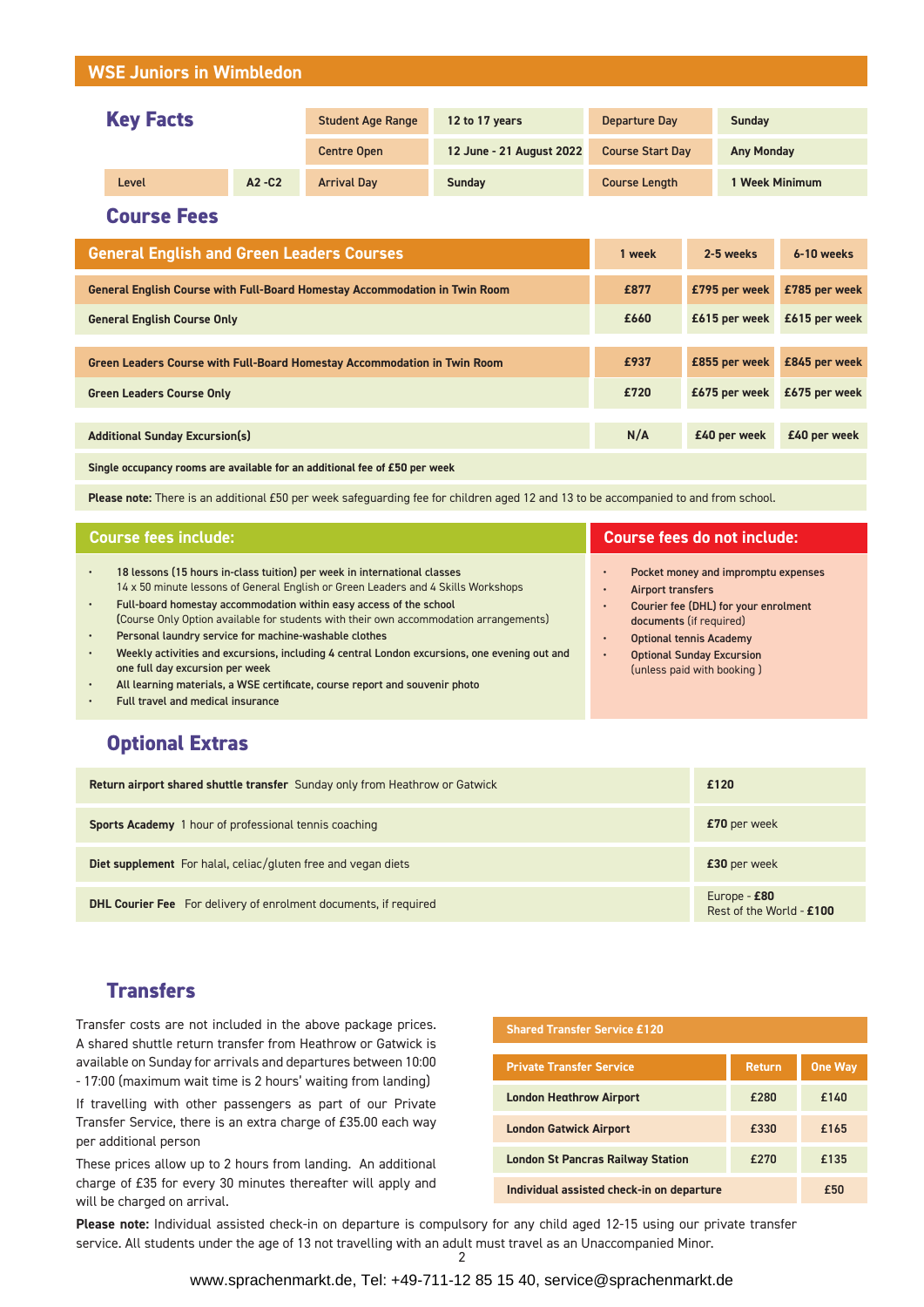### **WSE Juniors in Wimbledon**

| <b>Key Facts</b> |       | <b>Student Age Range</b> | 12 to 17 years     | Departure Day            | <b>Sunday</b>           |                     |
|------------------|-------|--------------------------|--------------------|--------------------------|-------------------------|---------------------|
|                  |       |                          | <b>Centre Open</b> | 12 June - 21 August 2022 | <b>Course Start Day</b> | <b>Any Monday</b>   |
|                  | Level | $A2 - C2$                | <b>Arrival Day</b> | <b>Sunday</b>            | <b>Course Length</b>    | <b>Week Minimum</b> |

**Course Fees**

| <b>General English and Green Leaders Courses</b>                                  |      | 2-5 weeks     | 6-10 weeks    |
|-----------------------------------------------------------------------------------|------|---------------|---------------|
| <b>General English Course with Full-Board Homestay Accommodation in Twin Room</b> | £877 | £795 per week | £785 per week |
| <b>General English Course Only</b>                                                | £660 | £615 per week | £615 per week |
|                                                                                   |      |               |               |
| <b>Green Leaders Course with Full-Board Homestay Accommodation in Twin Room</b>   | £937 | £855 per week | £845 per week |
| <b>Green Leaders Course Only</b>                                                  |      | £675 per week | £675 per week |
|                                                                                   |      |               |               |
| <b>Additional Sunday Excursion(s)</b>                                             | N/A  | £40 per week  | £40 per week  |
| Single occupancy rooms are available for an additional fee of £50 per week        |      |               |               |

**Please note:** There is an additional £50 per week safeguarding fee for children aged 12 and 13 to be accompanied to and from school.

| <b>Course fees include:</b>                                                                                                                                                                                                                                                                                                                                                                                                                                                                                                                                                                                                                                              | <b>Course fees do not include:</b>                                                                                                                                                                                              |  |  |
|--------------------------------------------------------------------------------------------------------------------------------------------------------------------------------------------------------------------------------------------------------------------------------------------------------------------------------------------------------------------------------------------------------------------------------------------------------------------------------------------------------------------------------------------------------------------------------------------------------------------------------------------------------------------------|---------------------------------------------------------------------------------------------------------------------------------------------------------------------------------------------------------------------------------|--|--|
| 18 lessons (15 hours in-class tuition) per week in international classes<br>$\bullet$<br>14 x 50 minute lessons of General English or Green Leaders and 4 Skills Workshops<br>Full-board homestay accommodation within easy access of the school<br>$\bullet$<br>(Course Only Option available for students with their own accommodation arrangements)<br>Personal laundry service for machine-washable clothes<br>$\bullet$<br>Weekly activities and excursions, including 4 central London excursions, one evening out and<br>$\bullet$<br>one full day excursion per week<br>All learning materials, a WSE certificate, course report and souvenir photo<br>$\bullet$ | Pocket money and impromptu expenses<br>Airport transfers<br>Courier fee (DHL) for your enrolment<br>documents (if required)<br><b>Optional tennis Academy</b><br><b>Optional Sunday Excursion</b><br>(unless paid with booking) |  |  |

• Full travel and medical insurance

## **Optional Extras**

| <b>Return airport shared shuttle transfer</b> Sunday only from Heathrow or Gatwick | £120                                     |
|------------------------------------------------------------------------------------|------------------------------------------|
| Sports Academy 1 hour of professional tennis coaching                              | £70 per week                             |
| Diet supplement For halal, celiac/gluten free and vegan diets                      | £30 per week                             |
| <b>DHL Courier Fee</b> For delivery of enrolment documents, if required            | Europe - £80<br>Rest of the World - £100 |

### **Transfers**

Transfer costs are not included in the above package prices. A shared shuttle return transfer from Heathrow or Gatwick is available on Sunday for arrivals and departures between 10:00 - 17:00 (maximum wait time is 2 hours' waiting from landing)

If travelling with other passengers as part of our Private Transfer Service, there is an extra charge of £35.00 each way per additional person

These prices allow up to 2 hours from landing. An additional charge of £35 for every 30 minutes thereafter will apply and will be charged on arrival.

| <b>Shared Transfer Service £120</b>              |               |                |  |
|--------------------------------------------------|---------------|----------------|--|
| <b>Private Transfer Service</b>                  | <b>Return</b> | <b>One Way</b> |  |
| <b>London Heathrow Airport</b>                   | £280          | £140           |  |
| <b>London Gatwick Airport</b>                    | £330          | £165           |  |
| £270<br><b>London St Pancras Railway Station</b> |               | £135           |  |
| Individual assisted check-in on departure        | £50           |                |  |

**Please note:** Individual assisted check-in on departure is compulsory for any child aged 12-15 using our private transfer service. All students under the age of 13 not travelling with an adult must travel as an Unaccompanied Minor.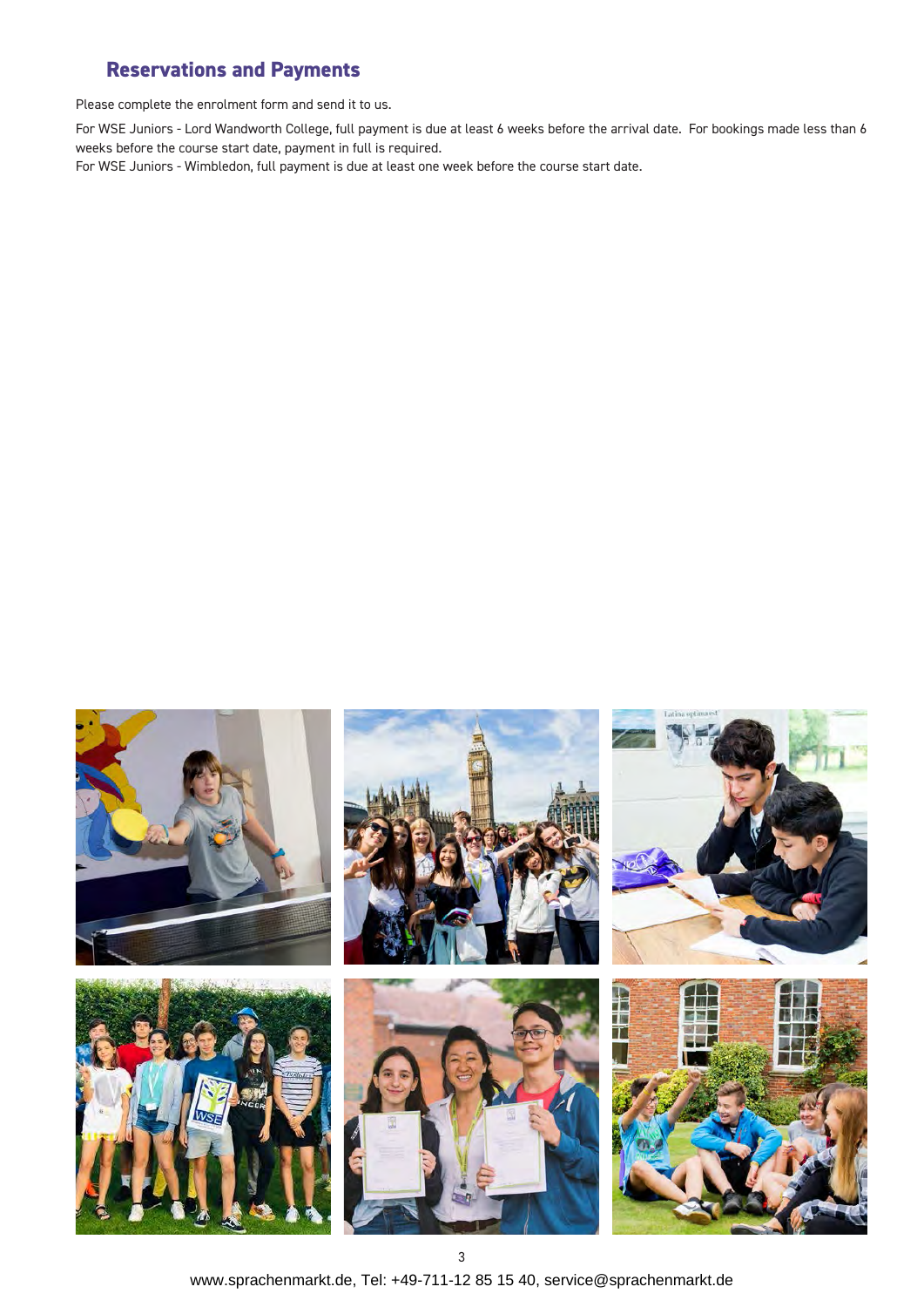## **Reservations and Payments**

Please complete the enrolment form and send it to us.

For WSE Juniors - Lord Wandworth College, full payment is due at least 6 weeks before the arrival date. For bookings made less than 6 weeks before the course start date, payment in full is required.

For WSE Juniors - Wimbledon, full payment is due at least one week before the course start date.



www.sprachenmarkt.de, Tel: +49-711-12 85 15 40, service@sprachenmarkt.de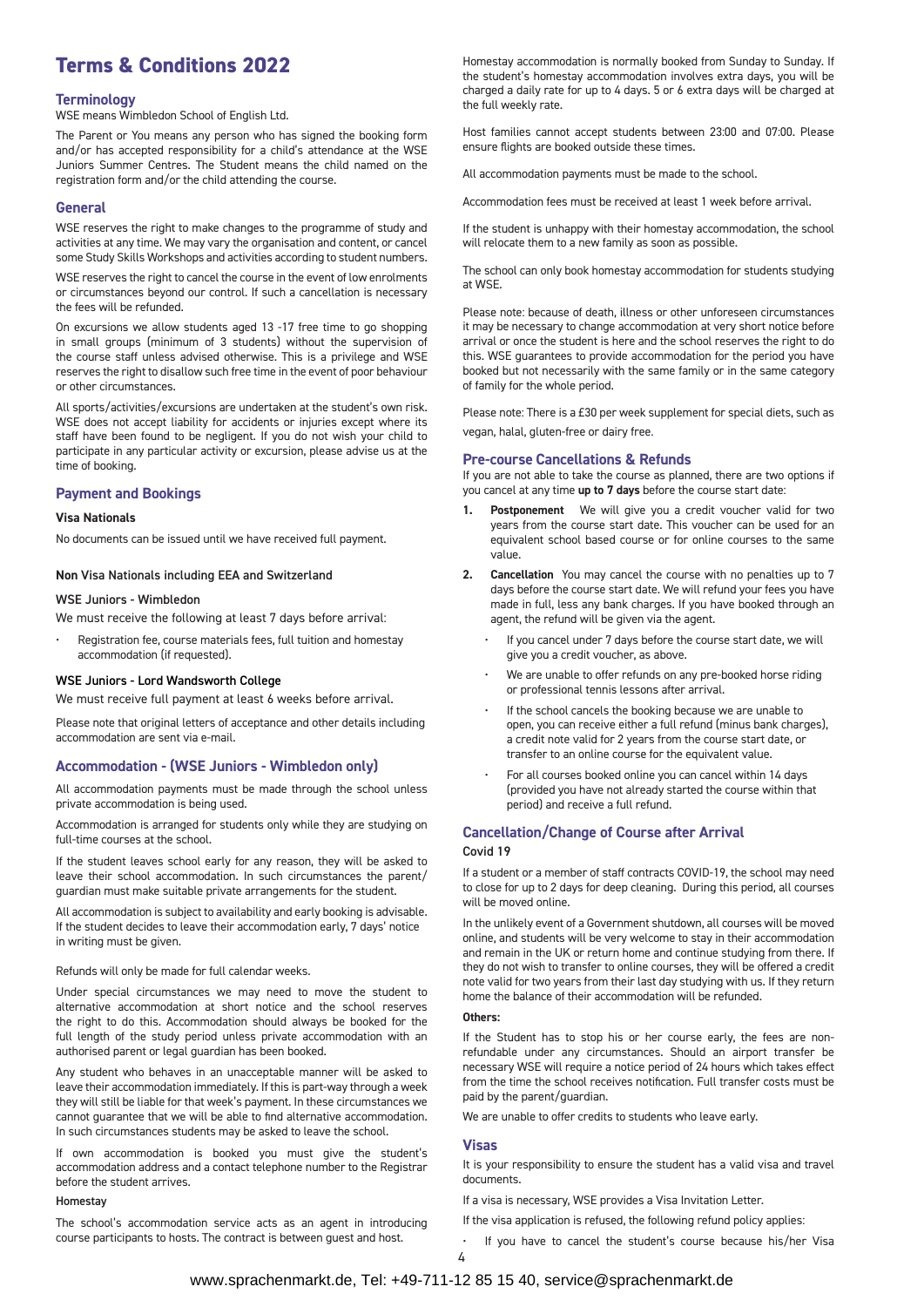## **Terms & Conditions 2022**

#### **Terminology**

WSE means Wimbledon School of English Ltd.

The Parent or You means any person who has signed the booking form and/or has accepted responsibility for a child's attendance at the WSE Juniors Summer Centres. The Student means the child named on the registration form and/or the child attending the course.

#### **General**

WSE reserves the right to make changes to the programme of study and activities at any time. We may vary the organisation and content, or cancel some Study Skills Workshops and activities according to student numbers.

WSE reserves the right to cancel the course in the event of low enrolments or circumstances beyond our control. If such a cancellation is necessary the fees will be refunded.

On excursions we allow students aged 13 -17 free time to go shopping in small groups (minimum of 3 students) without the supervision of the course staff unless advised otherwise. This is a privilege and WSE reserves the right to disallow such free time in the event of poor behaviour or other circumstances.

All sports/activities/excursions are undertaken at the student's own risk. WSE does not accept liability for accidents or injuries except where its staff have been found to be negligent. If you do not wish your child to participate in any particular activity or excursion, please advise us at the time of booking.

#### **Payment and Bookings**

#### **Visa Nationals**

No documents can be issued until we have received full payment.

#### **Non** Visa Nationals including EEA and Switzerland

#### WSE Juniors - Wimbledon

We must receive the following at least 7 days before arrival:

• Registration fee, course materials fees, full tuition and homestay accommodation (if requested).

#### WSE Juniors - Lord Wandsworth College

We must receive full payment at least 6 weeks before arrival.

Please note that original letters of acceptance and other details including accommodation are sent via e-mail.

#### **Accommodation - (WSE Juniors - Wimbledon only)**

All accommodation payments must be made through the school unless private accommodation is being used.

Accommodation is arranged for students only while they are studying on full-time courses at the school.

If the student leaves school early for any reason, they will be asked to leave their school accommodation. In such circumstances the parent/ guardian must make suitable private arrangements for the student.

All accommodation is subject to availability and early booking is advisable. If the student decides to leave their accommodation early, 7 days' notice in writing must be given.

Refunds will only be made for full calendar weeks.

Under special circumstances we may need to move the student to alternative accommodation at short notice and the school reserves the right to do this. Accommodation should always be booked for the full length of the study period unless private accommodation with an authorised parent or legal guardian has been booked.

Any student who behaves in an unacceptable manner will be asked to leave their accommodation immediately. If this is part-way through a week they will still be liable for that week's payment. In these circumstances we cannot guarantee that we will be able to find alternative accommodation. In such circumstances students may be asked to leave the school.

If own accommodation is booked you must give the student's accommodation address and a contact telephone number to the Registrar before the student arrives.

#### Homestay

The school's accommodation service acts as an agent in introducing course participants to hosts. The contract is between guest and host.

Homestay accommodation is normally booked from Sunday to Sunday. If the student's homestay accommodation involves extra days, you will be charged a daily rate for up to 4 days. 5 or 6 extra days will be charged at the full weekly rate.

Host families cannot accept students between 23:00 and 07:00. Please ensure flights are booked outside these times.

All accommodation payments must be made to the school.

Accommodation fees must be received at least 1 week before arrival.

If the student is unhappy with their homestay accommodation, the school will relocate them to a new family as soon as possible.

The school can only book homestay accommodation for students studying at WSE.

Please note: because of death, illness or other unforeseen circumstances it may be necessary to change accommodation at very short notice before arrival or once the student is here and the school reserves the right to do this. WSE guarantees to provide accommodation for the period you have booked but not necessarily with the same family or in the same category of family for the whole period.

Please note: There is a £30 per week supplement for special diets, such as vegan, halal, gluten-free or dairy free.

#### **Pre-course Cancellations & Refunds**

If you are not able to take the course as planned, there are two options if you cancel at any time **up to 7 days** before the course start date:

- **1. Postponement** We will give you a credit voucher valid for two years from the course start date. This voucher can be used for an equivalent school based course or for online courses to the same value.
- **2. Cancellation** You may cancel the course with no penalties up to 7 days before the course start date. We will refund your fees you have made in full, less any bank charges. If you have booked through an agent, the refund will be given via the agent.
	- If you cancel under 7 days before the course start date, we will give you a credit voucher, as above.
	- We are unable to offer refunds on any pre-booked horse riding or professional tennis lessons after arrival.
	- If the school cancels the booking because we are unable to open, you can receive either a full refund (minus bank charges), a credit note valid for 2 years from the course start date, or transfer to an online course for the equivalent value.
	- For all courses booked online you can cancel within 14 days (provided you have not already started the course within that period) and receive a full refund.

#### **Cancellation/Change of Course after Arrival** Covid 19

If a student or a member of staff contracts COVID-19, the school may need to close for up to 2 days for deep cleaning. During this period, all courses will be moved online.

In the unlikely event of a Government shutdown, all courses will be moved online, and students will be very welcome to stay in their accommodation and remain in the UK or return home and continue studying from there. If they do not wish to transfer to online courses, they will be offered a credit note valid for two years from their last day studying with us. If they return home the balance of their accommodation will be refunded.

#### **Others:**

If the Student has to stop his or her course early, the fees are nonrefundable under any circumstances. Should an airport transfer be necessary WSE will require a notice period of 24 hours which takes effect from the time the school receives notification. Full transfer costs must be paid by the parent/guardian.

We are unable to offer credits to students who leave early.

#### **Visas**

It is your responsibility to ensure the student has a valid visa and travel documents.

If a visa is necessary, WSE provides a Visa Invitation Letter.

- If the visa application is refused, the following refund policy applies:
- If you have to cancel the student's course because his/her Visa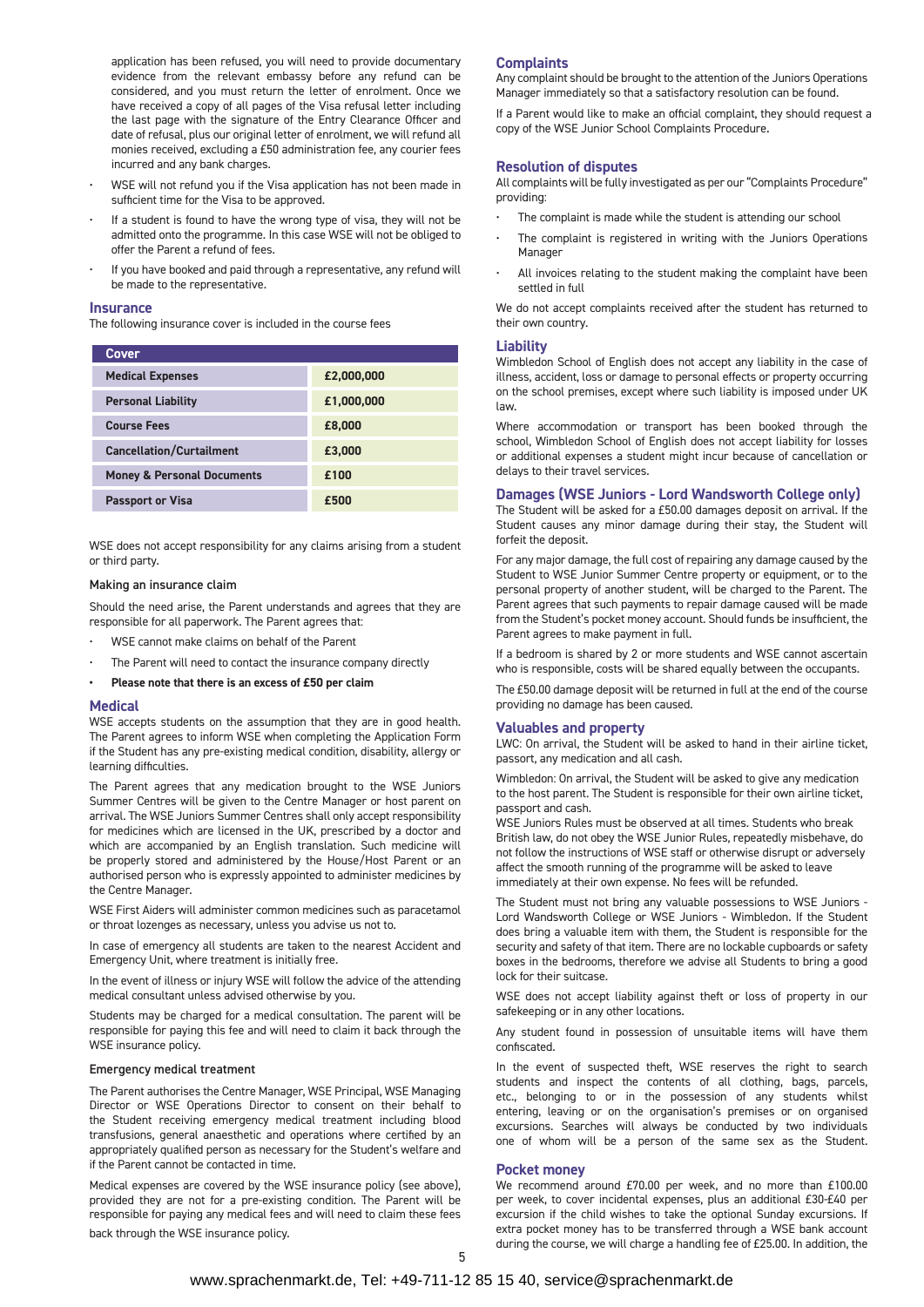application has been refused, you will need to provide documentary evidence from the relevant embassy before any refund can be considered, and you must return the letter of enrolment. Once we have received a copy of all pages of the Visa refusal letter including the last page with the signature of the Entry Clearance Officer and date of refusal, plus our original letter of enrolment, we will refund all monies received, excluding a £50 administration fee, any courier fees incurred and any bank charges.

- WSE will not refund you if the Visa application has not been made in sufficient time for the Visa to be approved.
- If a student is found to have the wrong type of visa, they will not be admitted onto the programme. In this case WSE will not be obliged to offer the Parent a refund of fees.
- If you have booked and paid through a representative, any refund will be made to the representative.

#### **Insurance**

The following insurance cover is included in the course fees

| <b>Cover</b>                          |            |
|---------------------------------------|------------|
| <b>Medical Expenses</b>               | £2,000,000 |
| <b>Personal Liability</b>             | £1,000,000 |
| <b>Course Fees</b>                    | £8,000     |
| <b>Cancellation/Curtailment</b>       | £3,000     |
| <b>Money &amp; Personal Documents</b> | £100       |
| <b>Passport or Visa</b>               | £500       |

WSE does not accept responsibility for any claims arising from a student or third party.

#### Making an insurance claim

Should the need arise, the Parent understands and agrees that they are responsible for all paperwork. The Parent agrees that:

- WSE cannot make claims on behalf of the Parent
- The Parent will need to contact the insurance company directly

**• Please note that there is an excess of £50 per claim**

#### **Medical**

WSE accepts students on the assumption that they are in good health. The Parent agrees to inform WSE when completing the Application Form if the Student has any pre-existing medical condition, disability, allergy or learning difficulties.

The Parent agrees that any medication brought to the WSE Juniors Summer Centres will be given to the Centre Manager or host parent on arrival. The WSE Juniors Summer Centres shall only accept responsibility for medicines which are licensed in the UK, prescribed by a doctor and which are accompanied by an English translation. Such medicine will be properly stored and administered by the House/Host Parent or an authorised person who is expressly appointed to administer medicines by the Centre Manager.

WSE First Aiders will administer common medicines such as paracetamol or throat lozenges as necessary, unless you advise us not to.

In case of emergency all students are taken to the nearest Accident and Emergency Unit, where treatment is initially free.

In the event of illness or injury WSE will follow the advice of the attending medical consultant unless advised otherwise by you.

Students may be charged for a medical consultation. The parent will be responsible for paying this fee and will need to claim it back through the WSE insurance policy.

#### Emergency medical treatment

The Parent authorises the Centre Manager, WSE Principal, WSE Managing Director or WSE Operations Director to consent on their behalf to the Student receiving emergency medical treatment including blood transfusions, general anaesthetic and operations where certified by an appropriately qualified person as necessary for the Student's welfare and if the Parent cannot be contacted in time.

Medical expenses are covered by the WSE insurance policy (see above), provided they are not for a pre-existing condition. The Parent will be responsible for paying any medical fees and will need to claim these fees back through the WSE insurance policy.

#### **Complaints**

Any complaint should be brought to the attention of the Juniors Operations Manager immediately so that a satisfactory resolution can be found.

If a Parent would like to make an official complaint, they should request a copy of the WSE Junior School Complaints Procedure**.**

#### **Resolution of disputes**

All complaints will be fully investigated as per our "Complaints Procedure" providing:

- The complaint is made while the student is attending our school
- The complaint is registered in writing with the Juniors Operations Manager
- All invoices relating to the student making the complaint have been settled in full

We do not accept complaints received after the student has returned to their own country.

#### **Liability**

Wimbledon School of English does not accept any liability in the case of illness, accident, loss or damage to personal effects or property occurring on the school premises, except where such liability is imposed under UK law.

Where accommodation or transport has been booked through the school, Wimbledon School of English does not accept liability for losses or additional expenses a student might incur because of cancellation or delays to their travel services.

#### **Damages (WSE Juniors - Lord Wandsworth College only)**

The Student will be asked for a £50.00 damages deposit on arrival. If the Student causes any minor damage during their stay, the Student will forfeit the deposit.

For any major damage, the full cost of repairing any damage caused by the Student to WSE Junior Summer Centre property or equipment, or to the personal property of another student, will be charged to the Parent. The Parent agrees that such payments to repair damage caused will be made from the Student's pocket money account. Should funds be insufficient, the Parent agrees to make payment in full.

If a bedroom is shared by 2 or more students and WSE cannot ascertain who is responsible, costs will be shared equally between the occupants.

The £50.00 damage deposit will be returned in full at the end of the course providing no damage has been caused.

#### **Valuables and property**

LWC: On arrival, the Student will be asked to hand in their airline ticket, passort, any medication and all cash.

Wimbledon: On arrival, the Student will be asked to give any medication to the host parent. The Student is responsible for their own airline ticket, passport and cash.

WSE Juniors Rules must be observed at all times. Students who break British law, do not obey the WSE Junior Rules, repeatedly misbehave, do not follow the instructions of WSE staff or otherwise disrupt or adversely affect the smooth running of the programme will be asked to leave immediately at their own expense. No fees will be refunded.

The Student must not bring any valuable possessions to WSE Juniors - Lord Wandsworth College or WSE Juniors - Wimbledon. If the Student does bring a valuable item with them, the Student is responsible for the security and safety of that item. There are no lockable cupboards or safety boxes in the bedrooms, therefore we advise all Students to bring a good lock for their suitcase.

WSE does not accept liability against theft or loss of property in our safekeeping or in any other locations.

Any student found in possession of unsuitable items will have them confiscated.

In the event of suspected theft, WSE reserves the right to search students and inspect the contents of all clothing, bags, parcels, etc., belonging to or in the possession of any students whilst entering, leaving or on the organisation's premises or on organised excursions. Searches will always be conducted by two individuals one of whom will be a person of the same sex as the Student.

#### **Pocket money**

We recommend around £70.00 per week, and no more than £100.00 per week, to cover incidental expenses, plus an additional £30-£40 per excursion if the child wishes to take the optional Sunday excursions. If extra pocket money has to be transferred through a WSE bank account during the course, we will charge a handling fee of £25.00. In addition, the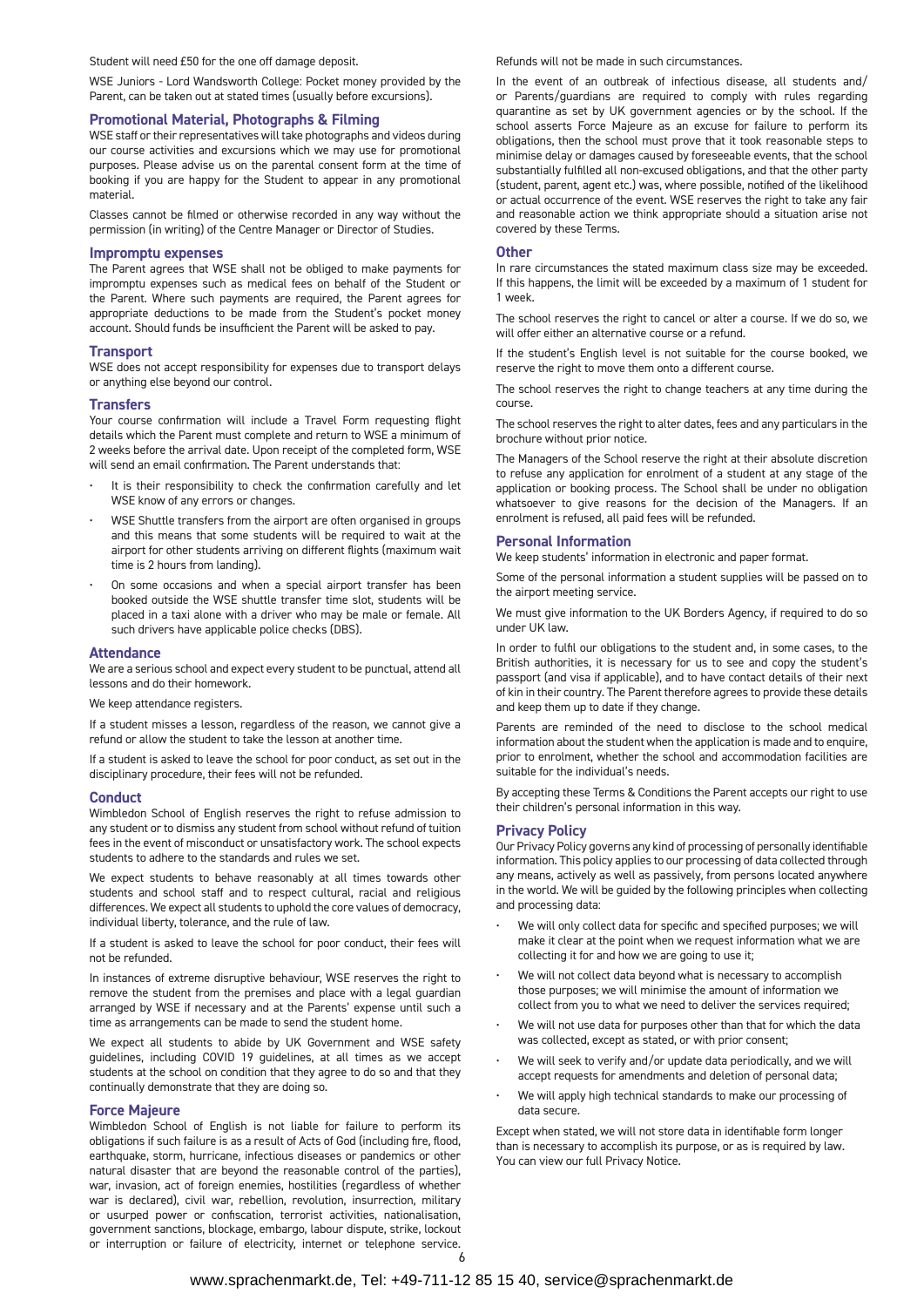Student will need £50 for the one off damage deposit.

WSE Juniors - Lord Wandsworth College: Pocket money provided by the Parent, can be taken out at stated times (usually before excursions).

#### **Promotional Material, Photographs & Filming**

WSE staff or their representatives will take photographs and videos during our course activities and excursions which we may use for promotional purposes. Please advise us on the parental consent form at the time of booking if you are happy for the Student to appear in any promotional material.

Classes cannot be filmed or otherwise recorded in any way without the permission (in writing) of the Centre Manager or Director of Studies.

#### **Impromptu expenses**

The Parent agrees that WSE shall not be obliged to make payments for impromptu expenses such as medical fees on behalf of the Student or the Parent. Where such payments are required, the Parent agrees for appropriate deductions to be made from the Student's pocket money account. Should funds be insufficient the Parent will be asked to pay.

#### **Transport**

WSE does not accept responsibility for expenses due to transport delays or anything else beyond our control.

#### **Transfers**

Your course confirmation will include a Travel Form requesting flight details which the Parent must complete and return to WSE a minimum of 2 weeks before the arrival date. Upon receipt of the completed form, WSE will send an email confirmation. The Parent understands that:

- It is their responsibility to check the confirmation carefully and let WSE know of any errors or changes.
- WSE Shuttle transfers from the airport are often organised in groups and this means that some students will be required to wait at the airport for other students arriving on different flights (maximum wait time is 2 hours from landing).
- On some occasions and when a special airport transfer has been booked outside the WSE shuttle transfer time slot, students will be placed in a taxi alone with a driver who may be male or female. All such drivers have applicable police checks (DBS).

#### **Attendance**

We are a serious school and expect every student to be punctual, attend all lessons and do their homework.

#### We keep attendance registers.

If a student misses a lesson, regardless of the reason, we cannot give a refund or allow the student to take the lesson at another time.

If a student is asked to leave the school for poor conduct, as set out in the disciplinary procedure, their fees will not be refunded.

#### **Conduct**

Wimbledon School of English reserves the right to refuse admission to any student or to dismiss any student from school without refund of tuition fees in the event of misconduct or unsatisfactory work. The school expects students to adhere to the standards and rules we set.

We expect students to behave reasonably at all times towards other students and school staff and to respect cultural, racial and religious differences. We expect all students to uphold the core values of democracy, individual liberty, tolerance, and the rule of law.

If a student is asked to leave the school for poor conduct, their fees will not be refunded.

In instances of extreme disruptive behaviour, WSE reserves the right to remove the student from the premises and place with a legal guardian arranged by WSE if necessary and at the Parents' expense until such a time as arrangements can be made to send the student home.

We expect all students to abide by UK Government and WSE safety guidelines, including COVID 19 guidelines, at all times as we accept students at the school on condition that they agree to do so and that they continually demonstrate that they are doing so.

#### **Force Majeure**

Wimbledon School of English is not liable for failure to perform its obligations if such failure is as a result of Acts of God (including fire, flood, earthquake, storm, hurricane, infectious diseases or pandemics or other natural disaster that are beyond the reasonable control of the parties), war, invasion, act of foreign enemies, hostilities (regardless of whether war is declared), civil war, rebellion, revolution, insurrection, military or usurped power or confiscation, terrorist activities, nationalisation, government sanctions, blockage, embargo, labour dispute, strike, lockout or interruption or failure of electricity, internet or telephone service. Refunds will not be made in such circumstances.

In the event of an outbreak of infectious disease, all students and/ or Parents/guardians are required to comply with rules regarding quarantine as set by UK government agencies or by the school. If the school asserts Force Majeure as an excuse for failure to perform its obligations, then the school must prove that it took reasonable steps to minimise delay or damages caused by foreseeable events, that the school substantially fulfilled all non-excused obligations, and that the other party (student, parent, agent etc.) was, where possible, notified of the likelihood or actual occurrence of the event. WSE reserves the right to take any fair and reasonable action we think appropriate should a situation arise not covered by these Terms.

#### **Other**

In rare circumstances the stated maximum class size may be exceeded. If this happens, the limit will be exceeded by a maximum of 1 student for 1 week.

The school reserves the right to cancel or alter a course. If we do so, we will offer either an alternative course or a refund.

If the student's English level is not suitable for the course booked, we reserve the right to move them onto a different course.

The school reserves the right to change teachers at any time during the course.

The school reserves the right to alter dates, fees and any particulars in the brochure without prior notice.

The Managers of the School reserve the right at their absolute discretion to refuse any application for enrolment of a student at any stage of the application or booking process. The School shall be under no obligation whatsoever to give reasons for the decision of the Managers. If an enrolment is refused, all paid fees will be refunded.

#### **Personal Information**

We keep students' information in electronic and paper format.

Some of the personal information a student supplies will be passed on to the airport meeting service.

We must give information to the UK Borders Agency, if required to do so under UK law.

In order to fulfil our obligations to the student and, in some cases, to the British authorities, it is necessary for us to see and copy the student's passport (and visa if applicable), and to have contact details of their next of kin in their country. The Parent therefore agrees to provide these details and keep them up to date if they change.

Parents are reminded of the need to disclose to the school medical information about the student when the application is made and to enquire, prior to enrolment, whether the school and accommodation facilities are suitable for the individual's needs.

By accepting these Terms & Conditions the Parent accepts our right to use their children's personal information in this way.

#### **Privacy Policy**

Our Privacy Policy governs any kind of processing of personally identifiable information. This policy applies to our processing of data collected through any means, actively as well as passively, from persons located anywhere in the world. We will be guided by the following principles when collecting and processing data:

- We will only collect data for specific and specified purposes; we will make it clear at the point when we request information what we are collecting it for and how we are going to use it;
- We will not collect data beyond what is necessary to accomplish those purposes; we will minimise the amount of information we collect from you to what we need to deliver the services required;
- We will not use data for purposes other than that for which the data was collected, except as stated, or with prior consent;
- We will seek to verify and/or update data periodically, and we will accept requests for amendments and deletion of personal data;
- We will apply high technical standards to make our processing of data secure.

Except when stated, we will not store data in identifiable form longer than is necessary to accomplish its purpose, or as is required by law. You can view our full Privacy Notice**.**